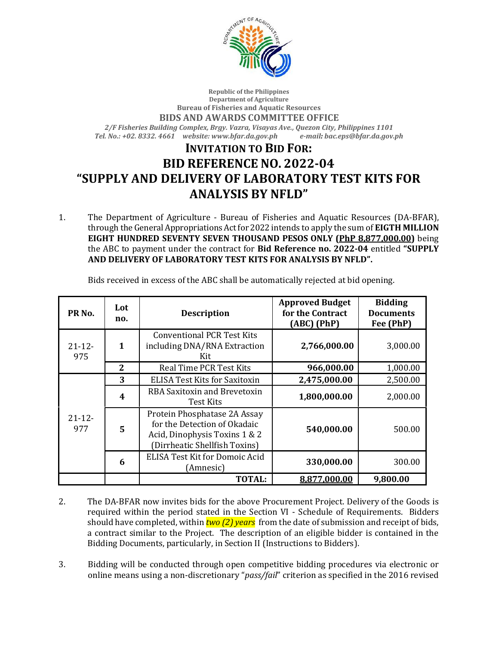

## **Republic of the Philippines Department of Agriculture Bureau of Fisheries and Aquatic Resources BIDS AND AWARDS COMMITTEE OFFICE** *2/F Fisheries Building Complex, Brgy. Vazra, Visayas Ave., Quezon City, Philippines 1101 Tel. No.: +02. 8332. 4661 website: www.bfar.da.gov.ph e-mail: bac.eps@bfar.da.gov.ph* **INVITATION TO BID FOR:**

## **BID REFERENCE NO. 2022-04 "SUPPLY AND DELIVERY OF LABORATORY TEST KITS FOR ANALYSIS BY NFLD"**

1. The Department of Agriculture - Bureau of Fisheries and Aquatic Resources (DA-BFAR), through the General Appropriations Act for 2022 intends to apply the sum of **EIGTH MILLION EIGHT HUNDRED SEVENTY SEVEN THOUSAND PESOS ONLY (PhP 8,877,000.00)** being the ABC to payment under the contract for **Bid Reference no. 2022-04** entitled **"SUPPLY AND DELIVERY OF LABORATORY TEST KITS FOR ANALYSIS BY NFLD".**

| PR <sub>No.</sub> | Lot<br>no. | <b>Description</b>                                                                                                             | <b>Approved Budget</b><br>for the Contract<br>$(ABC)$ (PhP) | <b>Bidding</b><br><b>Documents</b><br>Fee (PhP) |
|-------------------|------------|--------------------------------------------------------------------------------------------------------------------------------|-------------------------------------------------------------|-------------------------------------------------|
| $21 - 12$<br>975  | 1          | <b>Conventional PCR Test Kits</b><br>including DNA/RNA Extraction<br>Kit.                                                      | 2,766,000.00                                                | 3,000.00                                        |
|                   | 2          | <b>Real Time PCR Test Kits</b>                                                                                                 | 966,000.00                                                  | 1,000.00                                        |
| $21 - 12$<br>977  | 3          | <b>ELISA Test Kits for Saxitoxin</b>                                                                                           | 2,475,000.00                                                | 2,500.00                                        |
|                   | 4          | RBA Saxitoxin and Brevetoxin<br>Test Kits                                                                                      | 1,800,000.00                                                | 2,000.00                                        |
|                   | 5          | Protein Phosphatase 2A Assay<br>for the Detection of Okadaic<br>Acid, Dinophysis Toxins 1 & 2<br>(Dirrheatic Shellfish Toxins) | 540,000.00                                                  | 500.00                                          |
|                   | 6          | ELISA Test Kit for Domoic Acid<br>(Amnesic)                                                                                    | 330,000.00                                                  | 300.00                                          |
|                   |            | <b>TOTAL:</b>                                                                                                                  | 8,877,000.00                                                | 9,800.00                                        |

Bids received in excess of the ABC shall be automatically rejected at bid opening.

- 2. The DA-BFAR now invites bids for the above Procurement Project. Delivery of the Goods is required within the period stated in the Section VI - Schedule of Requirements. Bidders should have completed, within *two (2) years* from the date of submission and receipt of bids, a contract similar to the Project. The description of an eligible bidder is contained in the Bidding Documents, particularly, in Section II (Instructions to Bidders).
- 3. Bidding will be conducted through open competitive bidding procedures via electronic or online means using a non-discretionary "*pass/fail*" criterion as specified in the 2016 revised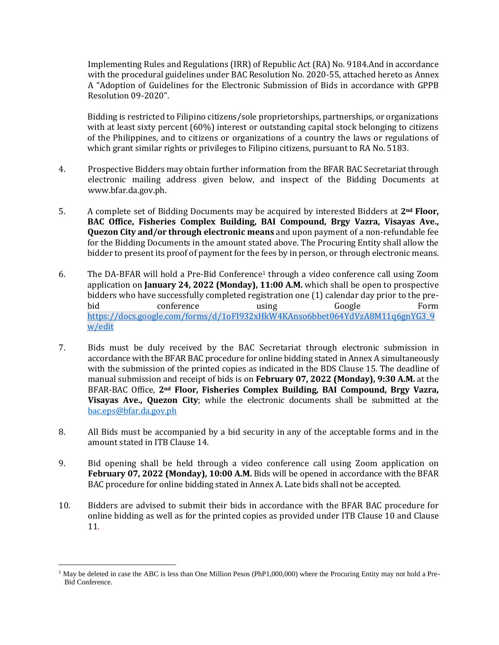Implementing Rules and Regulations (IRR) of Republic Act (RA) No. 9184.And in accordance with the procedural guidelines under BAC Resolution No. 2020-55, attached hereto as Annex A "Adoption of Guidelines for the Electronic Submission of Bids in accordance with GPPB Resolution 09-2020".

Bidding is restricted to Filipino citizens/sole proprietorships, partnerships, or organizations with at least sixty percent (60%) interest or outstanding capital stock belonging to citizens of the Philippines, and to citizens or organizations of a country the laws or regulations of which grant similar rights or privileges to Filipino citizens, pursuant to RA No. 5183.

- 4. Prospective Bidders may obtain further information from the BFAR BAC Secretariat through electronic mailing address given below, and inspect of the Bidding Documents at www.bfar.da.gov.ph.
- 5. A complete set of Bidding Documents may be acquired by interested Bidders at **2nd Floor, BAC Office, Fisheries Complex Building, BAI Compound, Brgy Vazra, Visayas Ave., Quezon City and/or through electronic means** and upon payment of a non-refundable fee for the Bidding Documents in the amount stated above. The Procuring Entity shall allow the bidder to present its proof of payment for the fees by in person, or through electronic means.
- 6. The DA-BFAR will hold a Pre-Bid Conference<sup>1</sup> through a video conference call using Zoom application on **January 24, 2022 (Monday), 11:00 A.M.** which shall be open to prospective bidders who have successfully completed registration one (1) calendar day prior to the prebid conference using Google Form [https://docs.google.com/forms/d/1oFI932xHkW4KAnso6bbet064YdVzA8M11q6gnYG3\\_9](https://docs.google.com/forms/d/1oFI932xHkW4KAnso6bbet064YdVzA8M11q6gnYG3_9w/edit) [w/edit](https://docs.google.com/forms/d/1oFI932xHkW4KAnso6bbet064YdVzA8M11q6gnYG3_9w/edit)
- 7. Bids must be duly received by the BAC Secretariat through electronic submission in accordance with the BFAR BAC procedure for online bidding stated in Annex A simultaneously with the submission of the printed copies as indicated in the BDS Clause 15. The deadline of manual submission and receipt of bids is on **February 07, 2022 (Monday), 9:30 A.M.** at the BFAR-BAC Office, **2nd Floor, Fisheries Complex Building, BAI Compound, Brgy Vazra, Visayas Ave., Quezon City**; while the electronic documents shall be submitted at the [bac.eps@bfar.da.gov.ph](mailto:bac.eps@bfar.da.gov.ph)
- 8. All Bids must be accompanied by a bid security in any of the acceptable forms and in the amount stated in ITB Clause 14.
- 9. Bid opening shall be held through a video conference call using Zoom application on **February 07, 2022 (Monday), 10:00 A.M.** Bids will be opened in accordance with the BFAR BAC procedure for online bidding stated in Annex A. Late bids shall not be accepted.
- 10. Bidders are advised to submit their bids in accordance with the BFAR BAC procedure for online bidding as well as for the printed copies as provided under ITB Clause 10 and Clause 11.

 $\overline{a}$ 

 $1$  May be deleted in case the ABC is less than One Million Pesos (PhP1,000,000) where the Procuring Entity may not hold a Pre-Bid Conference.